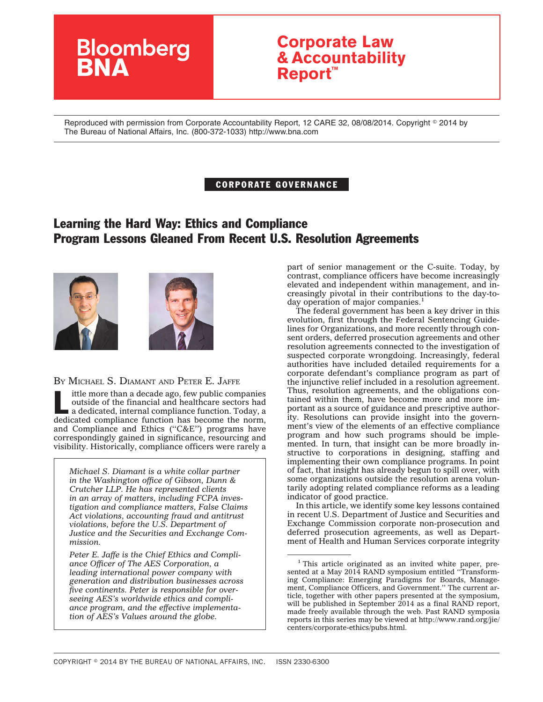# **Bloomberg**

## **Corporate Law & Accountability Report™**

Reproduced with permission from Corporate Accountability Report, 12 CARE 32, 08/08/2014. Copyright © 2014 by The Bureau of National Affairs, Inc. (800-372-1033) http://www.bna.com

#### CORPORATE GOVERNANCE

### Learning the Hard Way: Ethics and Compliance Program Lessons Gleaned From Recent U.S. Resolution Agreements





BY MICHAEL S. DIAMANT AND PETER E. JAFFE

ittle more than a decade ago, few public companies outside of the financial and healthcare sectors had a dedicated, internal compliance function. Today, a dedicated compliance function has become the norm, and Compliance and Ethics (''C&E'') programs have correspondingly gained in significance, resourcing and visibility. Historically, compliance officers were rarely a

*Michael S. Diamant is a white collar partner in the Washington office of Gibson, Dunn & Crutcher LLP. He has represented clients in an array of matters, including FCPA investigation and compliance matters, False Claims Act violations, accounting fraud and antitrust violations, before the U.S. Department of Justice and the Securities and Exchange Commission.*

*Peter E. Jaffe is the Chief Ethics and Compliance Officer of The AES Corporation, a leading international power company with generation and distribution businesses across five continents. Peter is responsible for overseeing AES's worldwide ethics and compliance program, and the effective implementation of AES's Values around the globe.*

part of senior management or the C-suite. Today, by contrast, compliance officers have become increasingly elevated and independent within management, and increasingly pivotal in their contributions to the day-today operation of major companies.<sup>1</sup>

The federal government has been a key driver in this evolution, first through the Federal Sentencing Guidelines for Organizations, and more recently through consent orders, deferred prosecution agreements and other resolution agreements connected to the investigation of suspected corporate wrongdoing. Increasingly, federal authorities have included detailed requirements for a corporate defendant's compliance program as part of the injunctive relief included in a resolution agreement. Thus, resolution agreements, and the obligations contained within them, have become more and more important as a source of guidance and prescriptive authority. Resolutions can provide insight into the government's view of the elements of an effective compliance program and how such programs should be implemented. In turn, that insight can be more broadly instructive to corporations in designing, staffing and implementing their own compliance programs. In point of fact, that insight has already begun to spill over, with some organizations outside the resolution arena voluntarily adopting related compliance reforms as a leading indicator of good practice.

In this article, we identify some key lessons contained in recent U.S. Department of Justice and Securities and Exchange Commission corporate non-prosecution and deferred prosecution agreements, as well as Department of Health and Human Services corporate integrity

<sup>&</sup>lt;sup>1</sup> This article originated as an invited white paper, presented at a May 2014 RAND symposium entitled "Transforming Compliance: Emerging Paradigms for Boards, Management, Compliance Officers, and Government." The current article, together with other papers presented at the symposium, will be published in September 2014 as a final RAND report, made freely available through the web. Past RAND symposia reports in this series may be viewed at [http://www.rand.org/jie/](http://www.rand.org/jie/centers/corporate-ethics/pubs.html) [centers/corporate-ethics/pubs.html.](http://www.rand.org/jie/centers/corporate-ethics/pubs.html)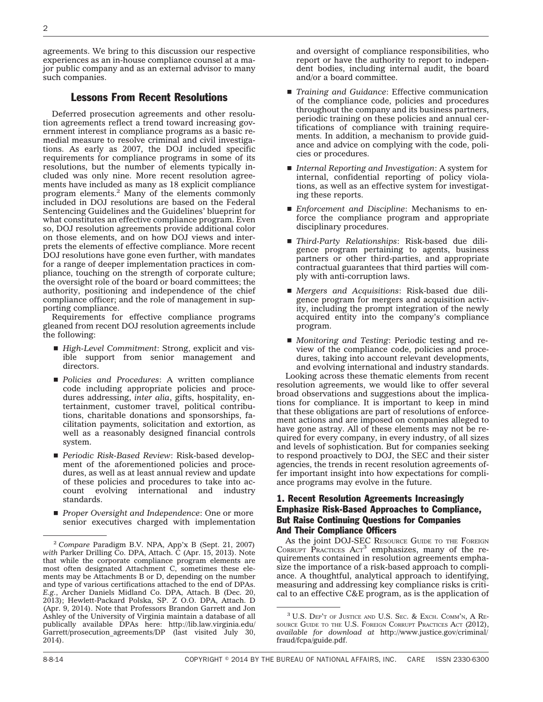agreements. We bring to this discussion our respective experiences as an in-house compliance counsel at a major public company and as an external advisor to many such companies.

#### Lessons From Recent Resolutions

Deferred prosecution agreements and other resolution agreements reflect a trend toward increasing government interest in compliance programs as a basic remedial measure to resolve criminal and civil investigations. As early as 2007, the DOJ included specific requirements for compliance programs in some of its resolutions, but the number of elements typically included was only nine. More recent resolution agreements have included as many as 18 explicit compliance program elements.2 Many of the elements commonly included in DOJ resolutions are based on the Federal Sentencing Guidelines and the Guidelines' blueprint for what constitutes an effective compliance program. Even so, DOJ resolution agreements provide additional color on those elements, and on how DOJ views and interprets the elements of effective compliance. More recent DOJ resolutions have gone even further, with mandates for a range of deeper implementation practices in compliance, touching on the strength of corporate culture; the oversight role of the board or board committees; the authority, positioning and independence of the chief compliance officer; and the role of management in supporting compliance.

Requirements for effective compliance programs gleaned from recent DOJ resolution agreements include the following:

- *High-Level Commitment: Strong, explicit and vis*ible support from senior management and directors.
- s *Policies and Procedures*: A written compliance code including appropriate policies and procedures addressing, *inter alia*, gifts, hospitality, entertainment, customer travel, political contributions, charitable donations and sponsorships, facilitation payments, solicitation and extortion, as well as a reasonably designed financial controls system.
- Periodic Risk-Based Review: Risk-based development of the aforementioned policies and procedures, as well as at least annual review and update of these policies and procedures to take into account evolving international and industry standards.
- **Proper Oversight and Independence: One or more** senior executives charged with implementation

and oversight of compliance responsibilities, who report or have the authority to report to independent bodies, including internal audit, the board and/or a board committee.

- *Training and Guidance*: Effective communication of the compliance code, policies and procedures throughout the company and its business partners, periodic training on these policies and annual certifications of compliance with training requirements. In addition, a mechanism to provide guidance and advice on complying with the code, policies or procedures.
- *Internal Reporting and Investigation:* A system for internal, confidential reporting of policy violations, as well as an effective system for investigating these reports.
- *Enforcement and Discipline*: Mechanisms to enforce the compliance program and appropriate disciplinary procedures.
- s *Third-Party Relationships*: Risk-based due diligence program pertaining to agents, business partners or other third-parties, and appropriate contractual guarantees that third parties will comply with anti-corruption laws.
- *Mergers and Acquisitions*: Risk-based due diligence program for mergers and acquisition activity, including the prompt integration of the newly acquired entity into the company's compliance program.
- *Monitoring and Testing*: Periodic testing and review of the compliance code, policies and procedures, taking into account relevant developments, and evolving international and industry standards.

Looking across these thematic elements from recent resolution agreements, we would like to offer several broad observations and suggestions about the implications for compliance. It is important to keep in mind that these obligations are part of resolutions of enforcement actions and are imposed on companies alleged to have gone astray. All of these elements may not be required for every company, in every industry, of all sizes and levels of sophistication. But for companies seeking to respond proactively to DOJ, the SEC and their sister agencies, the trends in recent resolution agreements offer important insight into how expectations for compliance programs may evolve in the future.

#### 1. Recent Resolution Agreements Increasingly Emphasize Risk-Based Approaches to Compliance, But Raise Continuing Questions for Companies And Their Compliance Officers

As the joint DOJ-SEC RESOURCE GUIDE TO THE FOREIGN CORRUPT PRACTICES  $ACT^3$  emphasizes, many of the requirements contained in resolution agreements emphasize the importance of a risk-based approach to compliance. A thoughtful, analytical approach to identifying, measuring and addressing key compliance risks is critical to an effective C&E program, as is the application of

<sup>2</sup> *Compare* Paradigm B.V. NPA, App'x B (Sept. 21, 2007) *with* Parker Drilling Co. DPA, Attach. C (Apr. 15, 2013). Note that while the corporate compliance program elements are most often designated Attachment C, sometimes these elements may be Attachments B or D, depending on the number and type of various certifications attached to the end of DPAs. *E.g.*, Archer Daniels Midland Co. DPA, Attach. B (Dec. 20, 2013); Hewlett-Packard Polska, SP. Z O.O. DPA, Attach. D (Apr. 9, 2014). Note that Professors Brandon Garrett and Jon Ashley of the University of Virginia maintain a database of all publically available DPAs here: [http://lib.law.virginia.edu/](http://lib.law.virginia.edu/Garrett/prosecution_agreements/DP) [Garrett/prosecution\\_agreements/DP](http://lib.law.virginia.edu/Garrett/prosecution_agreements/DP) (last visited July 30, 2014).

<sup>&</sup>lt;sup>3</sup> U.S. DEP'T OF JUSTICE AND U.S. SEC. & EXCH. COMM'N, A RE-SOURCE GUIDE TO THE U.S. FOREIGN CORRUPT PRACTICES ACT (2012), *available for download at* [http://www.justice.gov/criminal/](http://www.justice.gov/criminal/fraud/fcpa/guide.pdf) [fraud/fcpa/guide.pdf.](http://www.justice.gov/criminal/fraud/fcpa/guide.pdf)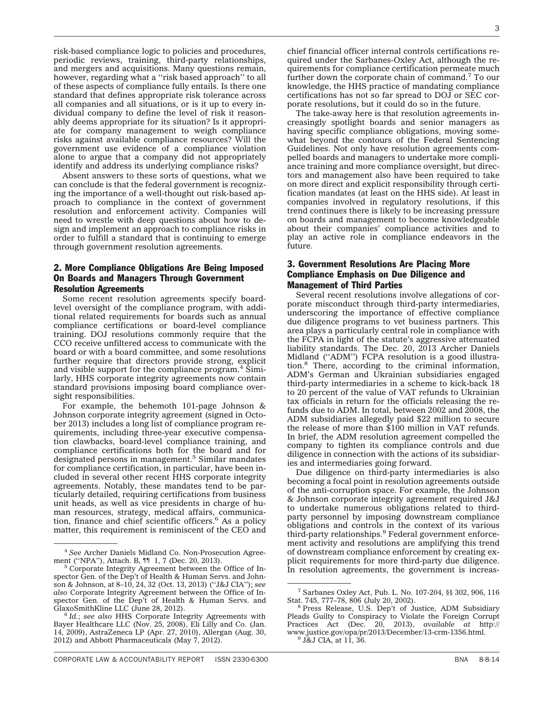risk-based compliance logic to policies and procedures, periodic reviews, training, third-party relationships, and mergers and acquisitions. Many questions remain, however, regarding what a "risk based approach" to all of these aspects of compliance fully entails. Is there one standard that defines appropriate risk tolerance across all companies and all situations, or is it up to every individual company to define the level of risk it reasonably deems appropriate for its situation? Is it appropriate for company management to weigh compliance risks against available compliance resources? Will the government use evidence of a compliance violation alone to argue that a company did not appropriately identify and address its underlying compliance risks?

Absent answers to these sorts of questions, what we can conclude is that the federal government is recognizing the importance of a well-thought out risk-based approach to compliance in the context of government resolution and enforcement activity. Companies will need to wrestle with deep questions about how to design and implement an approach to compliance risks in order to fulfill a standard that is continuing to emerge through government resolution agreements.

#### 2. More Compliance Obligations Are Being Imposed On Boards and Managers Through Government Resolution Agreements

Some recent resolution agreements specify boardlevel oversight of the compliance program, with additional related requirements for boards such as annual compliance certifications or board-level compliance training. DOJ resolutions commonly require that the CCO receive unfiltered access to communicate with the board or with a board committee, and some resolutions further require that directors provide strong, explicit and visible support for the compliance program. $4$  Similarly, HHS corporate integrity agreements now contain standard provisions imposing board compliance oversight responsibilities.

For example, the behemoth 101-page Johnson  $&$ Johnson corporate integrity agreement (signed in October 2013) includes a long list of compliance program requirements, including three-year executive compensation clawbacks, board-level compliance training, and compliance certifications both for the board and for designated persons in management.<sup>5</sup> Similar mandates for compliance certification, in particular, have been included in several other recent HHS corporate integrity agreements. Notably, these mandates tend to be particularly detailed, requiring certifications from business unit heads, as well as vice presidents in charge of human resources, strategy, medical affairs, communication, finance and chief scientific officers. $6$  As a policy matter, this requirement is reminiscent of the CEO and

chief financial officer internal controls certifications required under the Sarbanes-Oxley Act, although the requirements for compliance certification permeate much further down the corporate chain of command.<sup>7</sup> To our knowledge, the HHS practice of mandating compliance certifications has not so far spread to DOJ or SEC corporate resolutions, but it could do so in the future.

The take-away here is that resolution agreements increasingly spotlight boards and senior managers as having specific compliance obligations, moving somewhat beyond the contours of the Federal Sentencing Guidelines. Not only have resolution agreements compelled boards and managers to undertake more compliance training and more compliance oversight, but directors and management also have been required to take on more direct and explicit responsibility through certification mandates (at least on the HHS side). At least in companies involved in regulatory resolutions, if this trend continues there is likely to be increasing pressure on boards and management to become knowledgeable about their companies' compliance activities and to play an active role in compliance endeavors in the future.

#### 3. Government Resolutions Are Placing More Compliance Emphasis on Due Diligence and Management of Third Parties

Several recent resolutions involve allegations of corporate misconduct through third-party intermediaries, underscoring the importance of effective compliance due diligence programs to vet business partners. This area plays a particularly central role in compliance with the FCPA in light of the statute's aggressive attenuated liability standards. The Dec. 20, 2013 Archer Daniels Midland (''ADM'') FCPA resolution is a good illustration.8 There, according to the criminal information, ADM's German and Ukrainian subsidiaries engaged third-party intermediaries in a scheme to kick-back 18 to 20 percent of the value of VAT refunds to Ukrainian tax officials in return for the officials releasing the refunds due to ADM. In total, between 2002 and 2008, the ADM subsidiaries allegedly paid \$22 million to secure the release of more than \$100 million in VAT refunds. In brief, the ADM resolution agreement compelled the company to tighten its compliance controls and due diligence in connection with the actions of its subsidiaries and intermediaries going forward.

Due diligence on third-party intermediaries is also becoming a focal point in resolution agreements outside of the anti-corruption space. For example, the Johnson & Johnson corporate integrity agreement required J&J to undertake numerous obligations related to thirdparty personnel by imposing downstream compliance obligations and controls in the context of its various third-party relationships.<sup>9</sup> Federal government enforcement activity and resolutions are amplifying this trend of downstream compliance enforcement by creating explicit requirements for more third-party due diligence. In resolution agreements, the government is increas-

<sup>&</sup>lt;sup>4</sup> See Archer Daniels Midland Co. Non-Prosecution Agreement ("NPA"), Attach. B, 11 1, 7 (Dec. 20, 2013).

<sup>&</sup>lt;sup>5</sup> Corporate Integrity Agreement between the Office of Inspector Gen. of the Dep't of Health & Human Servs. and Johnson & Johnson, at 8–10, 24, 32 (Oct. 13, 2013) (''J&J CIA''); *see also* Corporate Integrity Agreement between the Office of Inspector Gen. of the Dep't of Health & Human Servs. and GlaxoSmithKline LLC (June 28, 2012).

<sup>&</sup>lt;sup>6</sup> Id.; see also HHS Corporate Integrity Agreements with Bayer Healthcare LLC (Nov. 25, 2008), Eli Lilly and Co. (Jan. 14, 2009), AstraZeneca LP (Apr. 27, 2010), Allergan (Aug. 30, 2012) and Abbott Pharmaceuticals (May 7, 2012).

<sup>7</sup> Sarbanes Oxley Act, Pub. L. No. 107-204, §§ 302, 906, 116

<sup>&</sup>lt;sup>8</sup> Press Release, U.S. Dep't of Justice, ADM Subsidiary Pleads Guilty to Conspiracy to Violate the Foreign Corrupt Practices Act (Dec. 20, 2013), *available at* [http://](http://www.justice.gov/opa/pr/2013/December/13-crm-1356.html) [www.justice.gov/opa/pr/2013/December/13-crm-1356.html.](http://www.justice.gov/opa/pr/2013/December/13-crm-1356.html) <sup>9</sup> J&J CIA, at 11, 36.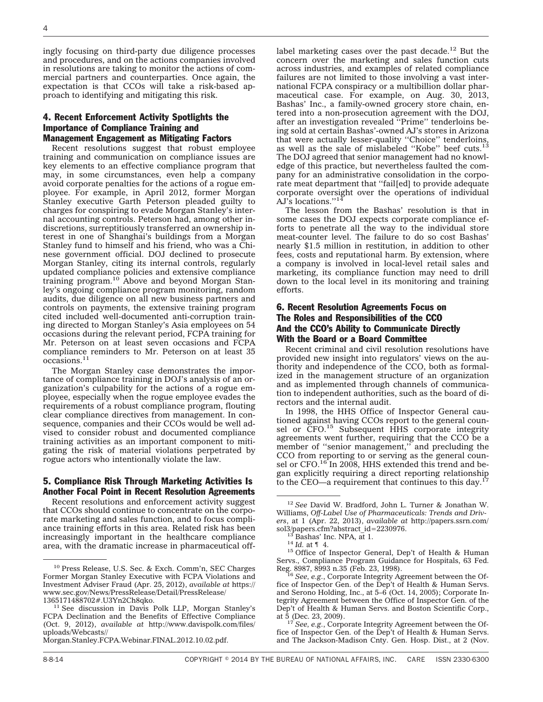ingly focusing on third-party due diligence processes and procedures, and on the actions companies involved in resolutions are taking to monitor the actions of commercial partners and counterparties. Once again, the expectation is that CCOs will take a risk-based approach to identifying and mitigating this risk.

#### 4. Recent Enforcement Activity Spotlights the Importance of Compliance Training and Management Engagement as Mitigating Factors

Recent resolutions suggest that robust employee training and communication on compliance issues are key elements to an effective compliance program that may, in some circumstances, even help a company avoid corporate penalties for the actions of a rogue employee. For example, in April 2012, former Morgan Stanley executive Garth Peterson pleaded guilty to charges for conspiring to evade Morgan Stanley's internal accounting controls. Peterson had, among other indiscretions, surreptitiously transferred an ownership interest in one of Shanghai's buildings from a Morgan Stanley fund to himself and his friend, who was a Chinese government official. DOJ declined to prosecute Morgan Stanley, citing its internal controls, regularly updated compliance policies and extensive compliance training program.10 Above and beyond Morgan Stanley's ongoing compliance program monitoring, random audits, due diligence on all new business partners and controls on payments, the extensive training program cited included well-documented anti-corruption training directed to Morgan Stanley's Asia employees on 54 occasions during the relevant period, FCPA training for Mr. Peterson on at least seven occasions and FCPA compliance reminders to Mr. Peterson on at least 35 occasions.11

The Morgan Stanley case demonstrates the importance of compliance training in DOJ's analysis of an organization's culpability for the actions of a rogue employee, especially when the rogue employee evades the requirements of a robust compliance program, flouting clear compliance directives from management. In consequence, companies and their CCOs would be well advised to consider robust and documented compliance training activities as an important component to mitigating the risk of material violations perpetrated by rogue actors who intentionally violate the law.

#### 5. Compliance Risk Through Marketing Activities Is Another Focal Point in Recent Resolution Agreements

Recent resolutions and enforcement activity suggest that CCOs should continue to concentrate on the corporate marketing and sales function, and to focus compliance training efforts in this area. Related risk has been increasingly important in the healthcare compliance area, with the dramatic increase in pharmaceutical off-

[Morgan.Stanley.FCPA.Webinar.FINAL.2012.10.02.pdf.](http://www.davispolk.com/files/uploads/Webcasts//Morgan.Stanley.FCPA.Webinar.FINAL.2012.10.02.pdf)

label marketing cases over the past decade.12 But the concern over the marketing and sales function cuts across industries, and examples of related compliance failures are not limited to those involving a vast international FCPA conspiracy or a multibillion dollar pharmaceutical case. For example, on Aug. 30, 2013, Bashas' Inc., a family-owned grocery store chain, entered into a non-prosecution agreement with the DOJ, after an investigation revealed ''Prime'' tenderloins being sold at certain Bashas'-owned AJ's stores in Arizona that were actually lesser-quality "Choice" tenderloins,<br>as well as the sale of mislabeled "Kobe" beef cuts.<sup>13</sup> The DOJ agreed that senior management had no knowledge of this practice, but nevertheless faulted the company for an administrative consolidation in the corporate meat department that ''fail[ed] to provide adequate corporate oversight over the operations of individual AJ's locations."<sup>14</sup>

The lesson from the Bashas' resolution is that in some cases the DOJ expects corporate compliance efforts to penetrate all the way to the individual store meat-counter level. The failure to do so cost Bashas' nearly \$1.5 million in restitution, in addition to other fees, costs and reputational harm. By extension, where a company is involved in local-level retail sales and marketing, its compliance function may need to drill down to the local level in its monitoring and training efforts.

#### 6. Recent Resolution Agreements Focus on The Roles and Responsibilities of the CCO And the CCO's Ability to Communicate Directly With the Board or a Board Committee

Recent criminal and civil resolution resolutions have provided new insight into regulators' views on the authority and independence of the CCO, both as formalized in the management structure of an organization and as implemented through channels of communication to independent authorities, such as the board of directors and the internal audit.

In 1998, the HHS Office of Inspector General cautioned against having CCOs report to the general counsel or CFO.<sup>15</sup> Subsequent HHS corporate integrity agreements went further, requiring that the CCO be a member of "senior management," and precluding the CCO from reporting to or serving as the general counsel or CFO.<sup>16</sup> In 2008, HHS extended this trend and began explicitly requiring a direct reporting relationship to the  $\text{CEO}$ —a requirement that continues to this day.<sup>1</sup>

<sup>10</sup> Press Release, U.S. Sec. & Exch. Comm'n, SEC Charges Former Morgan Stanley Executive with FCPA Violations and Investment Adviser Fraud (Apr. 25, 2012), *available at* [https://](https://www.sec.gov/News/PressRelease/Detail/PressRelease/1365171488702#.U3Yn2Ch8qko) [www.sec.gov/News/PressRelease/Detail/PressRelease/](https://www.sec.gov/News/PressRelease/Detail/PressRelease/1365171488702#.U3Yn2Ch8qko)

<sup>&</sup>lt;sup>11</sup> See discussion in Davis Polk LLP, Morgan Stanley's FCPA Declination and the Benefits of Effective Compliance (Oct. 9, 2012), *available at* [http://www.davispolk.com/files/](http://www.davispolk.com/files/uploads/Webcasts//Morgan.Stanley.FCPA.Webinar.FINAL.2012.10.02.pdf) [uploads/Webcasts//](http://www.davispolk.com/files/uploads/Webcasts//Morgan.Stanley.FCPA.Webinar.FINAL.2012.10.02.pdf)

<sup>12</sup> *See* David W. Bradford, John L. Turner & Jonathan W. Williams, *Off-Label Use of Pharmaceuticals: Trends and Drivers*, at 1 (Apr. 22, 2013), *available at* [http://papers.ssrn.com/](http://papers.ssrn.com/sol3/papers.cfm?abstract_id=2230976)

<sup>&</sup>lt;sup>13</sup> Bashas' Inc. NPA, at 1.<br><sup>14</sup> *Id.* at ¶ 4.<br><sup>15</sup> Office of Inspector General, Dep't of Health & Human Servs., Compliance Program Guidance for Hospitals, 63 Fed. Reg. 8987, 8993 n.35 (Feb. 23, 1998).<br><sup>16</sup> *See, e.g.*, Corporate Integrity Agreement between the Of-

fice of Inspector Gen. of the Dep't of Health & Human Servs. and Serono Holding, Inc., at 5–6 (Oct. 14, 2005); Corporate Integrity Agreement between the Office of Inspector Gen. of the Dep't of Health & Human Servs. and Boston Scientific Corp., at 5 (Dec. 23, 2009). <sup>17</sup> *See, e.g.*, Corporate Integrity Agreement between the Of-

fice of Inspector Gen. of the Dep't of Health & Human Servs. and The Jackson-Madison Cnty. Gen. Hosp. Dist., at 2 (Nov.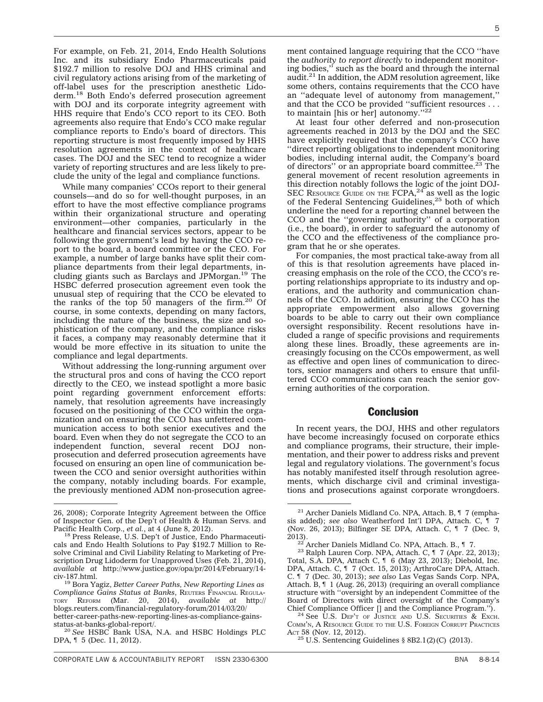For example, on Feb. 21, 2014, Endo Health Solutions Inc. and its subsidiary Endo Pharmaceuticals paid \$192.7 million to resolve DOJ and HHS criminal and civil regulatory actions arising from of the marketing of off-label uses for the prescription anesthetic Lidoderm.18 Both Endo's deferred prosecution agreement with DOJ and its corporate integrity agreement with HHS require that Endo's CCO report to its CEO. Both agreements also require that Endo's CCO make regular compliance reports to Endo's board of directors. This

reporting structure is most frequently imposed by HHS resolution agreements in the context of healthcare cases. The DOJ and the SEC tend to recognize a wider variety of reporting structures and are less likely to preclude the unity of the legal and compliance functions.

While many companies' CCOs report to their general counsels—and do so for well-thought purposes, in an effort to have the most effective compliance programs within their organizational structure and operating environment—other companies, particularly in the healthcare and financial services sectors, appear to be following the government's lead by having the CCO report to the board, a board committee or the CEO. For example, a number of large banks have split their compliance departments from their legal departments, including giants such as Barclays and JPMorgan.19 The HSBC deferred prosecution agreement even took the unusual step of requiring that the CCO be elevated to the ranks of the top  $50$  managers of the firm.<sup>20</sup> Of course, in some contexts, depending on many factors, including the nature of the business, the size and sophistication of the company, and the compliance risks it faces, a company may reasonably determine that it would be more effective in its situation to unite the compliance and legal departments.

Without addressing the long-running argument over the structural pros and cons of having the CCO report directly to the CEO, we instead spotlight a more basic point regarding government enforcement efforts: namely, that resolution agreements have increasingly focused on the positioning of the CCO within the organization and on ensuring the CCO has unfettered communication access to both senior executives and the board. Even when they do not segregate the CCO to an independent function, several recent DOJ nonprosecution and deferred prosecution agreements have focused on ensuring an open line of communication between the CCO and senior oversight authorities within the company, notably including boards. For example, the previously mentioned ADM non-prosecution agree-

ment contained language requiring that the CCO ''have the *authority to report directly* to independent monitoring bodies,'' such as the board and through the internal audit. $2<sup>1</sup>$  In addition, the ADM resolution agreement, like some others, contains requirements that the CCO have an ''adequate level of autonomy from management,'' and that the CCO be provided ''sufficient resources . . . to maintain [his or her] autonomy."<sup>22</sup>

At least four other deferred and non-prosecution agreements reached in 2013 by the DOJ and the SEC have explicitly required that the company's CCO have ''direct reporting obligations to independent monitoring bodies, including internal audit, the Company's board of directors" or an appropriate board committee.<sup>23</sup> The general movement of recent resolution agreements in this direction notably follows the logic of the joint DOJ-SEC RESOURCE GUIDE ON THE  $FCPA$ <sup>24</sup> as well as the logic of the Federal Sentencing Guidelines,<sup>25</sup> both of which underline the need for a reporting channel between the CCO and the ''governing authority'' of a corporation (i.e., the board), in order to safeguard the autonomy of the CCO and the effectiveness of the compliance program that he or she operates.

For companies, the most practical take-away from all of this is that resolution agreements have placed increasing emphasis on the role of the CCO, the CCO's reporting relationships appropriate to its industry and operations, and the authority and communication channels of the CCO. In addition, ensuring the CCO has the appropriate empowerment also allows governing boards to be able to carry out their own compliance oversight responsibility. Recent resolutions have included a range of specific provisions and requirements along these lines. Broadly, these agreements are increasingly focusing on the CCOs empowerment, as well as effective and open lines of communication to directors, senior managers and others to ensure that unfiltered CCO communications can reach the senior governing authorities of the corporation.

#### Conclusion

In recent years, the DOJ, HHS and other regulators have become increasingly focused on corporate ethics and compliance programs, their structure, their implementation, and their power to address risks and prevent legal and regulatory violations. The government's focus has notably manifested itself through resolution agreements, which discharge civil and criminal investigations and prosecutions against corporate wrongdoers.

<sup>26, 2008);</sup> Corporate Integrity Agreement between the Office of Inspector Gen. of the Dep't of Health & Human Servs. and Pacific Health Corp., et al., at 4 (June 8, 2012).

<sup>&</sup>lt;sup>18</sup> Press Release, U.S. Dep't of Justice, Endo Pharmaceuticals and Endo Health Solutions to Pay \$192.7 Million to Resolve Criminal and Civil Liability Relating to Marketing of Prescription Drug Lidoderm for Unapproved Uses (Feb. 21, 2014), *available at* [http://www.justice.gov/opa/pr/2014/February/14-](http://www.justice.gov/opa/pr/2014/February/14-civ-187.html)<br>civ-187.html.

<sup>&</sup>lt;sup>19</sup> Bora Yagiz, *Better Career Paths, New Reporting Lines as Compliance Gains Status at Banks*, REUTERS FINANCIAL REGULA-TORY REFORM (Mar. 20, 2014), *available at* [http://](http://blogs.reuters.com/financial-regulatory-forum/2014/03/20/better-career-paths-new-reporting-lines-as-compliance-gains-status-at-banks-global-report/) [blogs.reuters.com/financial-regulatory-forum/2014/03/20/](http://blogs.reuters.com/financial-regulatory-forum/2014/03/20/better-career-paths-new-reporting-lines-as-compliance-gains-status-at-banks-global-report/) [better-career-paths-new-reporting-lines-as-compliance-gains-](http://blogs.reuters.com/financial-regulatory-forum/2014/03/20/better-career-paths-new-reporting-lines-as-compliance-gains-status-at-banks-global-report/)

<sup>&</sup>lt;sup>20</sup> See HSBC Bank USA, N.A. and HSBC Holdings PLC DPA, ¶ 5 (Dec. 11, 2012).

<sup>21</sup> Archer Daniels Midland Co. NPA, Attach. B, ¶ 7 (emphasis added); *see also* Weatherford Int'l DPA, Attach. C, ¶ 7 (Nov. 26, 2013); Bilfinger SE DPA, Attach. C, ¶ 7 (Dec. 9, 2013). <sup>22</sup> Archer Daniels Midland Co. NPA, Attach. B., ¶ 7.<br>Attach. C, ¶ 7 (Apr. 22,

<sup>&</sup>lt;sup>23</sup> Ralph Lauren Corp. NPA, Attach. C,  $\parallel$  7 (Apr. 22, 2013); Total, S.A. DPA, Attach C,  $\parallel$  6 (May 23, 2013); Diebold, Inc. DPA, Attach. C, ¶ 7 (Oct. 15, 2013); ArthroCare DPA, Attach. C. ¶ 7 (Dec. 30, 2013); *see also* Las Vegas Sands Corp. NPA, Attach. B, ¶ 1 (Aug. 26, 2013) (requiring an overall compliance structure with ''oversight by an independent Committee of the Board of Directors with direct oversight of the Company's<br>Chief Compliance Officer [] and the Compliance Program.").

 $^{24}$  See U.S. DEP'T OF JUSTICE AND U.S. SECURITIES & EXCH. COMM'N, A RESOURCE GUIDE TO THE U.S. FOREIGN CORRUPT PRACTICES ACT 58 (Nov. 12, 2012).

<sup>&</sup>lt;sup>25</sup> U.S. Sentencing Guidelines § 8B2.1(2)(C) (2013).